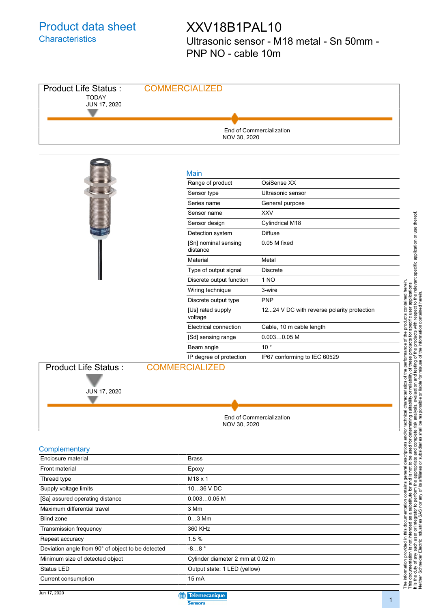### Product data sheet **Characteristics**

### XXV18B1PAL10

Ultrasonic sensor - M18 metal - Sn 50mm - PNP NO - cable 10m



Current consumption 15 mA

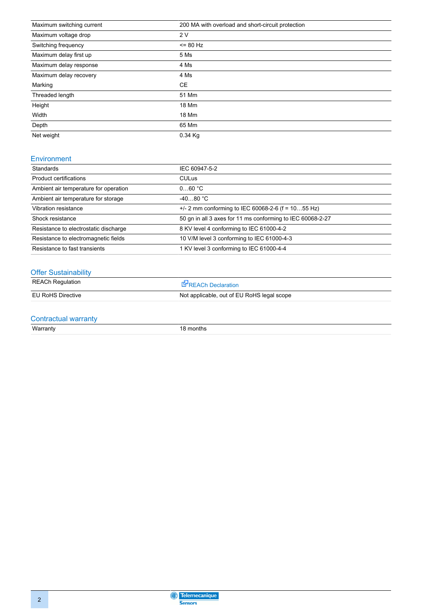| Maximum switching current | 200 MA with overload and short-circuit protection |
|---------------------------|---------------------------------------------------|
| Maximum voltage drop      | 2V                                                |
| Switching frequency       | $= 80$ Hz                                         |
| Maximum delay first up    | 5 Ms                                              |
| Maximum delay response    | 4 Ms                                              |
| Maximum delay recovery    | 4 Ms                                              |
| Marking                   | <b>CE</b>                                         |
| Threaded length           | 51 Mm                                             |
| Height                    | 18 Mm                                             |
| Width                     | 18 Mm                                             |
| Depth                     | 65 Mm                                             |
| Net weight                | $0.34$ Kg                                         |

#### Environment

| Standards                             | IEC 60947-5-2                                              |
|---------------------------------------|------------------------------------------------------------|
| Product certifications                | <b>CULus</b>                                               |
| Ambient air temperature for operation | 060 °C                                                     |
| Ambient air temperature for storage   | $-4080 °C$                                                 |
| Vibration resistance                  | $+/- 2$ mm conforming to IEC 60068-2-6 (f = 1055 Hz)       |
| Shock resistance                      | 50 gn in all 3 axes for 11 ms conforming to IEC 60068-2-27 |
| Resistance to electrostatic discharge | 8 KV level 4 conforming to IEC 61000-4-2                   |
| Resistance to electromagnetic fields  | 10 V/M level 3 conforming to IEC 61000-4-3                 |
| Resistance to fast transients         | 1 KV level 3 conforming to IEC 61000-4-4                   |

#### **Offer Sustainability**

| <b>REACh Regulation</b> | <b>E</b> <sup>P</sup> REACh Declaration    |
|-------------------------|--------------------------------------------|
| EU RoHS Directive       | Not applicable, out of EU RoHS legal scope |

# Contractual warranty<br>Warranty

18 months

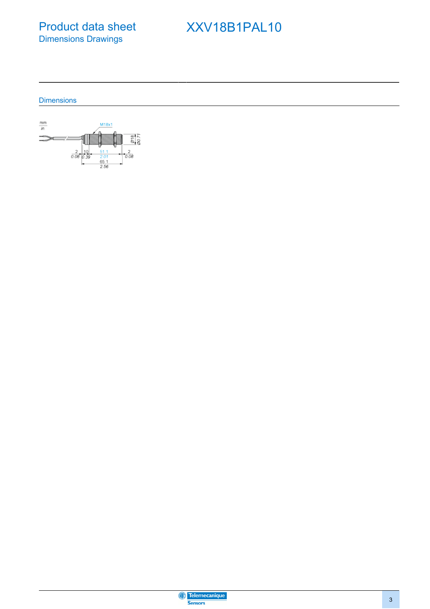Product data sheet Dimensions Drawings

### XXV18B1PAL10

#### **Dimensions**



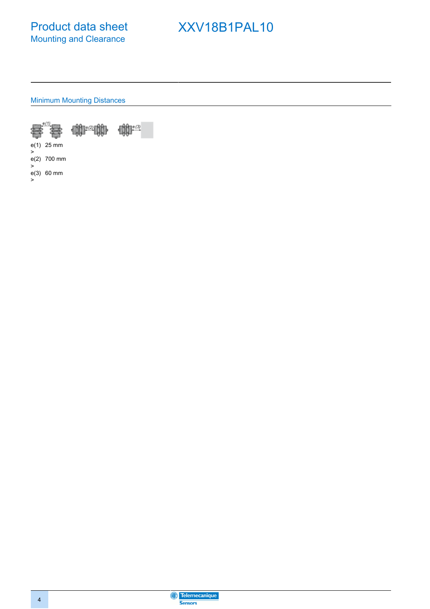

## XXV18B1PAL10

Minimum Mounting Distances





e(1) > 25 mm

e(2) 700 mm >

e(3) 60 mm>

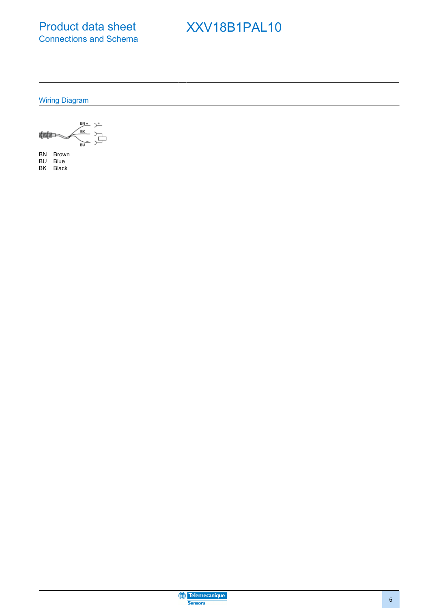Product data sheet Connections and Schema

### XXV18B1PAL10

Wiring Diagram